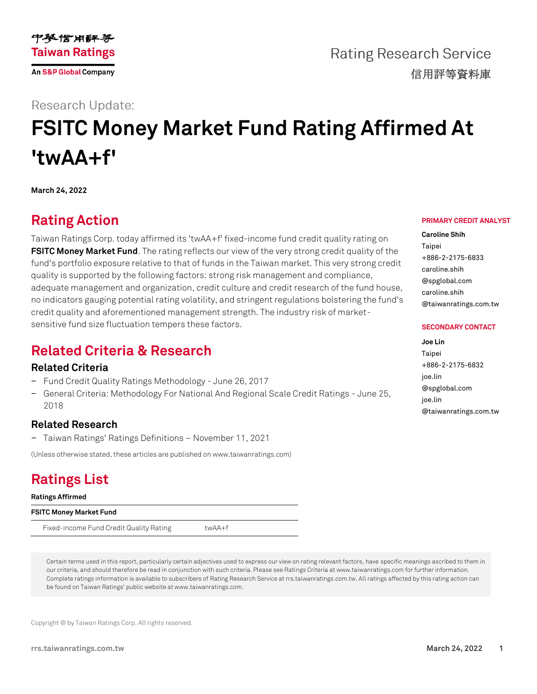

**Rating Research Service** 信用評等資料庫

## **Research Update:**

# **FSITC Money Market Fund Rating Affirmed At 'twAA+f'**

**March 24, 2022**

# **Rating Action**

Taiwan Ratings Corp. today affirmed its 'twAA+f' fixed-income fund credit quality rating on **[FSITC Money Market Fund](https://rrs.taiwanratings.com.tw/portal/member/viewFund/538)**. The rating reflects our view of the very strong credit quality of the fund's portfolio exposure relative to that of funds in the Taiwan market. This very strong credit quality is supported by the following factors: strong risk management and compliance, adequate management and organization, credit culture and credit research of the fund house, no indicators gauging potential rating volatility, and stringent regulations bolstering the fund's credit quality and aforementioned management strength. The industry risk of marketsensitive fund size fluctuation tempers these factors.

## **Related Criteria & Research**

### **Related Criteria**

- − Fund Credit Quality Ratings Methodology June 26, 2017
- − General Criteria: Methodology For National And Regional Scale Credit Ratings June 25, 2018

### **Related Research**

− Taiwan Ratings' Ratings Definitions – November 11, 2021

(Unless otherwise stated, these articles are published on www.taiwanratings.com)

# **Ratings List**

**Ratings Affirmed**

**FSITC Money Market Fund**

Fixed-income Fund Credit Quality Rating twAA+f

Certain terms used in this report, particularly certain adjectives used to express our view on rating relevant factors, have specific meanings ascribed to them in our criteria, and should therefore be read in conjunction with such criteria. Please see Ratings Criteria at www.taiwanratings.com for further information. Complete ratings information is available to subscribers of Rating Research Service at rrs.taiwanratings.com.tw. All ratings affected by this rating action can be found on Taiwan Ratings' public website at www.taiwanratings.com.

Copyright © by Taiwan Ratings Corp. All rights reserved.

#### **PRIMARY CREDIT ANALYST**

**Caroline Shih** Taipei +886-2-2175-6833 caroline.shih @spglobal.com caroline.shih @taiwanratings.com.tw

#### **SECONDARY CONTACT**

**Joe Lin** Taipei +886-2-2175-6832 joe.lin @spglobal.com joe.lin @taiwanratings.com.tw